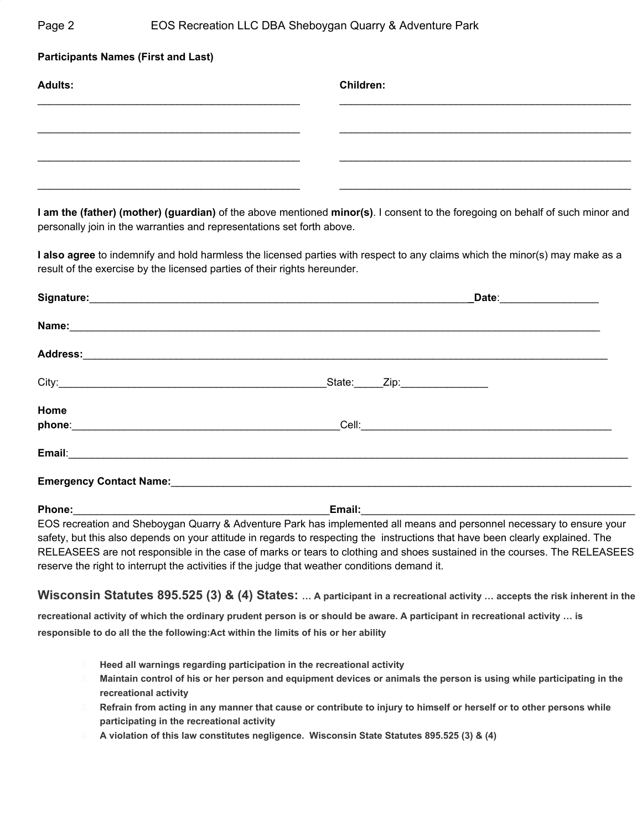## Page 2 **EOS Recreation LLC DBA Sheboygan Quarry & Adventure Park**

| <b>Participants Names (First and Last)</b> |                  |  |
|--------------------------------------------|------------------|--|
| <b>Adults:</b>                             | <b>Children:</b> |  |
|                                            |                  |  |
|                                            |                  |  |
|                                            |                  |  |
|                                            |                  |  |

**I am the (father) (mother) (guardian)** of the above mentioned **minor(s)**. I consent to the foregoing on behalf of such minor and personally join in the warranties and representations set forth above.

**I also agree** to indemnify and hold harmless the licensed parties with respect to any claims which the minor(s) may make as a result of the exercise by the licensed parties of their rights hereunder.

| Signature: Management of the Contract of the Contract of the Contract of the Contract of the Contract of the Contract of the Contract of the Contract of the Contract of the Contract of the Contract of the Contract of the C | Date:__________________ |  |
|--------------------------------------------------------------------------------------------------------------------------------------------------------------------------------------------------------------------------------|-------------------------|--|
|                                                                                                                                                                                                                                |                         |  |
| Address: Address:                                                                                                                                                                                                              |                         |  |
|                                                                                                                                                                                                                                |                         |  |
| Home                                                                                                                                                                                                                           |                         |  |
|                                                                                                                                                                                                                                |                         |  |
|                                                                                                                                                                                                                                |                         |  |
| Phone:                                                                                                                                                                                                                         | Email:                  |  |

EOS recreation and Sheboygan Quarry & Adventure Park has implemented all means and personnel necessary to ensure your safety, but this also depends on your attitude in regards to respecting the instructions that have been clearly explained. The RELEASEES are not responsible in the case of marks or tears to clothing and shoes sustained in the courses. The RELEASEES reserve the right to interrupt the activities if the judge that weather conditions demand it.

# **Wisconsin Statutes 895.525 (3) & (4) States: … A participant in a recreational activity … accepts the risk inherent in the**

**recreational activity of which the ordinary prudent person is or should be aware. A participant in recreational activity … is responsible to do all the the following:Act within the limits of his or her ability**

- **1. Heed all warnings regarding participation in the recreational activity**
- **2. Maintain control of his or her person and equipment devices or animals the person is using while participating in the recreational activity**
- **3. Refrain from acting in any manner that cause or contribute to injury to himself or herself or to other persons while participating in the recreational activity**
- **4. A violation of this law constitutes negligence. Wisconsin State Statutes 895.525 (3) & (4)**